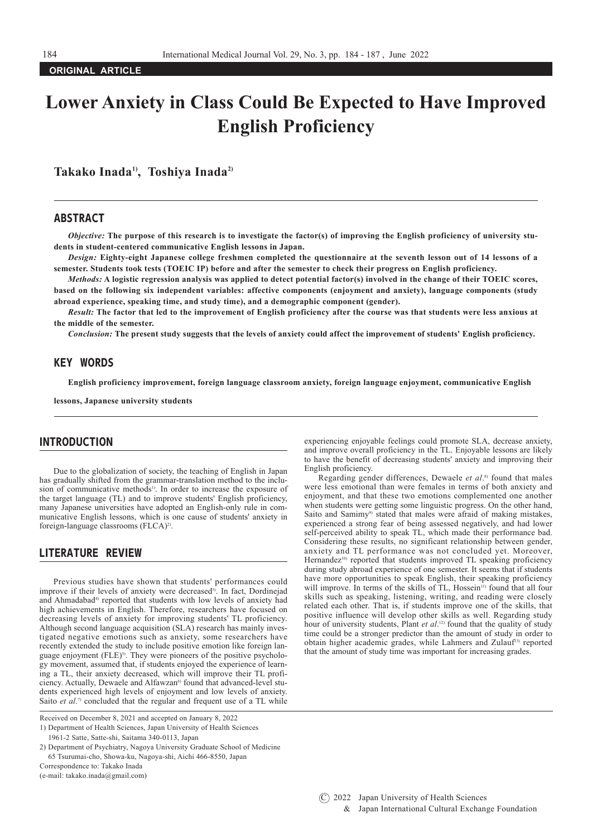**ORIGINAL ARTICLE**

# **Lower Anxiety in Class Could Be Expected to Have Improved English Proficiency**

Takako Inada<sup>1</sup>, Toshiya Inada<sup>2</sup>

## ABSTRACT

*Objective:* **The purpose of this research is to investigate the factor(s) of improving the English proficiency of university students in student-centered communicative English lessons in Japan.** 

*Design:* **Eighty-eight Japanese college freshmen completed the questionnaire at the seventh lesson out of 14 lessons of a semester. Students took tests (TOEIC IP) before and after the semester to check their progress on English proficiency.**

*Methods:* A logistic regression analysis was applied to detect potential factor(s) involved in the change of their TOEIC scores, **based on the following six independent variables: affective components (enjoyment and anxiety), language components (study abroad experience, speaking time, and study time), and a demographic component (gender).**

*Result:* **The factor that led to the improvement of English proficiency after the course was that students were less anxious at the middle of the semester.**

*Conclusion:* **The present study suggests that the levels of anxiety could affect the improvement of students' English proficiency.**

# KEY WORDS

**English proficiency improvement, foreign language classroom anxiety, foreign language enjoyment, communicative English** 

**lessons, Japanese university students**

# INTRODUCTION

Due to the globalization of society, the teaching of English in Japan has gradually shifted from the grammar-translation method to the inclusion of communicative methods<sup>1)</sup>. In order to increase the exposure of the target language (TL) and to improve students' English proficiency, many Japanese universities have adopted an English-only rule in communicative English lessons, which is one cause of students' anxiety in foreign-language classrooms (FLCA)<sup>2)</sup>.

# LITERATURE REVIEW

Previous studies have shown that students' performances could improve if their levels of anxiety were decreased<sup>3)</sup>. In fact, Dordinejad and Ahmadabad<sup>4)</sup> reported that students with low levels of anxiety had high achievements in English. Therefore, researchers have focused on decreasing levels of anxiety for improving students' TL proficiency. Although second language acquisition (SLA) research has mainly investigated negative emotions such as anxiety, some researchers have recently extended the study to include positive emotion like foreign language enjoyment (FLE)<sup>5)</sup>. They were pioneers of the positive psychology movement, assumed that, if students enjoyed the experience of learning a TL, their anxiety decreased, which will improve their TL proficiency. Actually, Dewaele and Alfawzan<sup>6)</sup> found that advanced-level students experienced high levels of enjoyment and low levels of anxiety. Saito *et al.*<sup>7</sup> concluded that the regular and frequent use of a TL while

Correspondence to: Takako Inada

(e-mail: takako.inada@gmail.com)

experiencing enjoyable feelings could promote SLA, decrease anxiety, and improve overall proficiency in the TL. Enjoyable lessons are likely to have the benefit of decreasing students' anxiety and improving their English proficiency.

Regarding gender differences, Dewaele *et al*. 8) found that males were less emotional than were females in terms of both anxiety and enjoyment, and that these two emotions complemented one another when students were getting some linguistic progress. On the other hand, Saito and Samimy<sup>9)</sup> stated that males were afraid of making mistakes, experienced a strong fear of being assessed negatively, and had lower self-perceived ability to speak TL, which made their performance bad. Considering these results, no significant relationship between gender, anxiety and TL performance was not concluded yet. Moreover, Hernandez<sup>10)</sup> reported that students improved TL speaking proficiency during study abroad experience of one semester. It seems that if students have more opportunities to speak English, their speaking proficiency will improve. In terms of the skills of TL, Hossein<sup>11)</sup> found that all four skills such as speaking, listening, writing, and reading were closely related each other. That is, if students improve one of the skills, that positive influence will develop other skills as well. Regarding study hour of university students, Plant *et al.*<sup>12</sup> found that the quality of study time could be a stronger predictor than the amount of study in order to obtain higher academic grades, while Lahmers and Zulauf<sup>13)</sup> reported that the amount of study time was important for increasing grades.

Received on December 8, 2021 and accepted on January 8, 2022

<sup>1)</sup> Department of Health Sciences, Japan University of Health Sciences 1961-2 Satte, Satte-shi, Saitama 340-0113, Japan

<sup>2)</sup> Department of Psychiatry, Nagoya University Graduate School of Medicine 65 Tsurumai-cho, Showa-ku, Nagoya-shi, Aichi 466-8550, Japan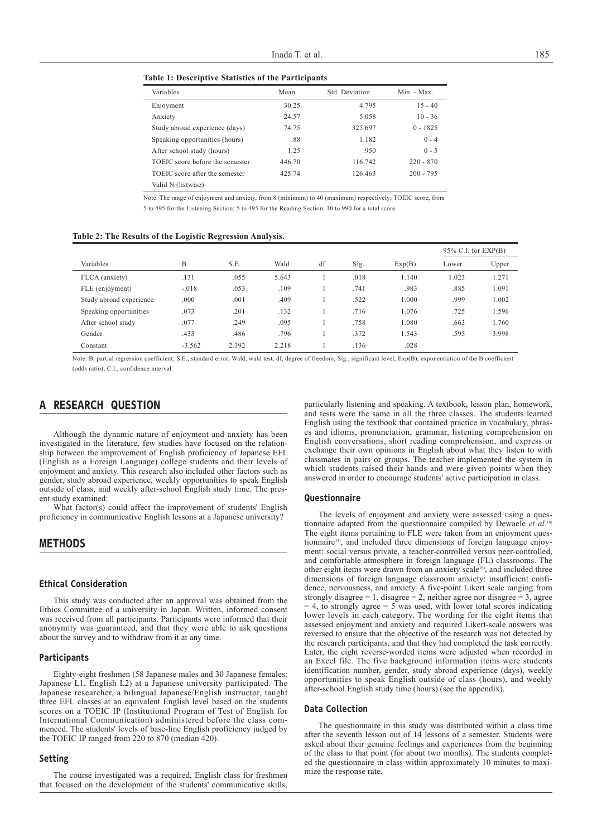**Table 1: Descriptive Statistics of the Participants**

| Variables                       | Mean   | Std. Deviation | Min. - Max. |  |
|---------------------------------|--------|----------------|-------------|--|
| Enjoyment                       | 30.25  | 4.795          | $15 - 40$   |  |
| Anxiety                         | 24.57  | 5.058          | $10 - 36$   |  |
| Study abroad experience (days)  | 74.75  | 325.697        | $0 - 1825$  |  |
| Speaking opportunities (hours)  | .88    | 1.182          | $0 - 4$     |  |
| After school study (hours)      | 1.25   | .950           | $0 - 5$     |  |
| TOEIC score before the semester | 446.70 | 116.742        | $220 - 870$ |  |
| TOEIC score after the semester  | 425.74 | 126.463        | $200 - 795$ |  |
| Valid N (listwise)              |        |                |             |  |

Note. The range of enjoyment and anxiety, from 8 (minimum) to 40 (maximum) respectively; TOEIC score, from 5 to 495 for the Listening Section; 5 to 495 for the Reading Section; 10 to 990 for a total score.

|                         |          |       |       |    |      |        | $95\%$ C.I. for EXP(B) |       |
|-------------------------|----------|-------|-------|----|------|--------|------------------------|-------|
| Variables               | B        | S.E.  | Wald  | df | Sig. | Exp(B) | Lower                  | Upper |
| FLCA (anxiety)          | .131     | .055  | 5.643 |    | .018 | 1.140  | 1.023                  | 1.271 |
| FLE (enjoyment)         | $-.018$  | .053  | .109  |    | .741 | .983   | .885                   | 1.091 |
| Study abroad experience | .000     | .001  | .409  |    | .522 | 1.000  | .999                   | 1.002 |
| Speaking opportunities  | .073     | .201  | .132  |    | .716 | 1.076  | .725                   | 1.596 |
| After school study      | .077     | .249  | .095  |    | .758 | 1.080  | .663                   | 1.760 |
| Gender                  | .433     | .486  | .796  |    | .372 | 1.543  | .595                   | 3.998 |
| Constant                | $-3.562$ | 2.392 | 2.218 |    | .136 | .028   |                        |       |

Note: B, partial regression coefficient; S.E., standard error; Wald, wald test; df, degree of freedom; Sig., significant level; Exp(B), exponentiation of the B coefficient (odds ratio); C.I., confidence interval.

# A RESEARCH QUESTION

Although the dynamic nature of enjoyment and anxiety has been investigated in the literature, few studies have focused on the relationship between the improvement of English proficiency of Japanese EFL (English as a Foreign Language) college students and their levels of enjoyment and anxiety. This research also included other factors such as gender, study abroad experience, weekly opportunities to speak English outside of class, and weekly after-school English study time. The present study examined:

What factor(s) could affect the improvement of students' English proficiency in communicative English lessons at a Japanese university?

## METHODS

## Ethical Consideration

This study was conducted after an approval was obtained from the Ethics Committee of a university in Japan. Written, informed consent was received from all participants. Participants were informed that their anonymity was guaranteed, and that they were able to ask questions about the survey and to withdraw from it at any time.

#### Participants

Eighty-eight freshmen (58 Japanese males and 30 Japanese females: Japanese L1, English L2) at a Japanese university participated. The Japanese researcher, a bilingual Japanese/English instructor, taught three EFL classes at an equivalent English level based on the students scores on a TOEIC IP (Institutional Program of Test of English for International Communication) administered before the class commenced. The students' levels of base-line English proficiency judged by the TOEIC IP ranged from 220 to 870 (median 420).

#### Setting

The course investigated was a required, English class for freshmen that focused on the development of the students' communicative skills,

particularly listening and speaking. A textbook, lesson plan, homework, and tests were the same in all the three classes. The students learned English using the textbook that contained practice in vocabulary, phrases and idioms, pronunciation, grammar, listening comprehension on English conversations, short reading comprehension, and express or exchange their own opinions in English about what they listen to with classmates in pairs or groups. The teacher implemented the system in which students raised their hands and were given points when they answered in order to encourage students' active participation in class.

#### Questionnaire

The levels of enjoyment and anxiety were assessed using a questionnaire adapted from the questionnaire compiled by Dewaele *et al*. 14) The eight items pertaining to FLE were taken from an enjoyment questionnaire<sup>15)</sup>, and included three dimensions of foreign language enjoyment: social versus private, a teacher-controlled versus peer-controlled, and comfortable atmosphere in foreign language (FL) classrooms. The other eight items were drawn from an anxiety scale<sup>16</sup>, and included three dimensions of foreign language classroom anxiety: insufficient confidence, nervousness, and anxiety. A five-point Likert scale ranging from strongly disagree = 1, disagree = 2, neither agree nor disagree = 3, agree  $= 4$ , to strongly agree  $= 5$  was used, with lower total scores indicating lower levels in each category. The wording for the eight items that assessed enjoyment and anxiety and required Likert-scale answers was reversed to ensure that the objective of the research was not detected by the research participants, and that they had completed the task correctly. Later, the eight reverse-worded items were adjusted when recorded in an Excel file. The five background information items were students identification number, gender, study abroad experience (days), weekly opportunities to speak English outside of class (hours), and weekly after-school English study time (hours) (see the appendix).

#### Data Collection

The questionnaire in this study was distributed within a class time after the seventh lesson out of 14 lessons of a semester. Students were asked about their genuine feelings and experiences from the beginning of the class to that point (for about two months). The students completed the questionnaire in class within approximately 10 minutes to maximize the response rate.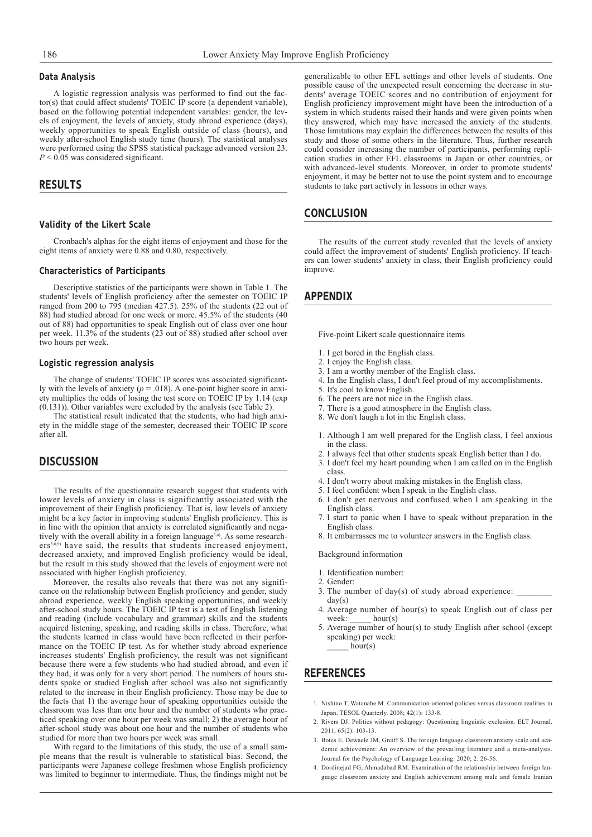## Data Analysis

A logistic regression analysis was performed to find out the factor(s) that could affect students' TOEIC IP score (a dependent variable), based on the following potential independent variables: gender, the levels of enjoyment, the levels of anxiety, study abroad experience (days), weekly opportunities to speak English outside of class (hours), and weekly after-school English study time (hours). The statistical analyses were performed using the SPSS statistical package advanced version 23. *P* < 0.05 was considered significant.

## RESULTS

#### Validity of the Likert Scale

Cronbach's alphas for the eight items of enjoyment and those for the eight items of anxiety were 0.88 and 0.80, respectively.

#### Characteristics of Participants

Descriptive statistics of the participants were shown in Table 1. The students' levels of English proficiency after the semester on TOEIC IP ranged from 200 to 795 (median 427.5). 25% of the students (22 out of 88) had studied abroad for one week or more. 45.5% of the students (40 out of 88) had opportunities to speak English out of class over one hour per week. 11.3% of the students (23 out of 88) studied after school over two hours per week.

#### Logistic regression analysis

The change of students' TOEIC IP scores was associated significantly with the levels of anxiety ( $p = .018$ ). A one-point higher score in anxiety multiplies the odds of losing the test score on TOEIC IP by 1.14 (exp (0.131)). Other variables were excluded by the analysis (see Table 2).

The statistical result indicated that the students, who had high anxiety in the middle stage of the semester, decreased their TOEIC IP score after all.

# **DISCUSSION**

The results of the questionnaire research suggest that students with lower levels of anxiety in class is significantly associated with the improvement of their English proficiency. That is, low levels of anxiety might be a key factor in improving students' English proficiency. This is in line with the opinion that anxiety is correlated significantly and negatively with the overall ability in a foreign language<sup>3,4)</sup>. As some researchers<sup>5,6,9)</sup> have said, the results that students increased enjoyment, decreased anxiety, and improved English proficiency would be ideal, but the result in this study showed that the levels of enjoyment were not associated with higher English proficiency.

Moreover, the results also reveals that there was not any significance on the relationship between English proficiency and gender, study abroad experience, weekly English speaking opportunities, and weekly after-school study hours. The TOEIC IP test is a test of English listening and reading (include vocabulary and grammar) skills and the students acquired listening, speaking, and reading skills in class. Therefore, what the students learned in class would have been reflected in their performance on the TOEIC IP test. As for whether study abroad experience increases students' English proficiency, the result was not significant because there were a few students who had studied abroad, and even if they had, it was only for a very short period. The numbers of hours students spoke or studied English after school was also not significantly related to the increase in their English proficiency. Those may be due to the facts that 1) the average hour of speaking opportunities outside the classroom was less than one hour and the number of students who practiced speaking over one hour per week was small; 2) the average hour of after-school study was about one hour and the number of students who studied for more than two hours per week was small.

With regard to the limitations of this study, the use of a small sample means that the result is vulnerable to statistical bias. Second, the participants were Japanese college freshmen whose English proficiency was limited to beginner to intermediate. Thus, the findings might not be

generalizable to other EFL settings and other levels of students. One possible cause of the unexpected result concerning the decrease in students' average TOEIC scores and no contribution of enjoyment for English proficiency improvement might have been the introduction of a system in which students raised their hands and were given points when they answered, which may have increased the anxiety of the students. Those limitations may explain the differences between the results of this study and those of some others in the literature. Thus, further research could consider increasing the number of participants, performing replication studies in other EFL classrooms in Japan or other countries, or with advanced-level students. Moreover, in order to promote students' enjoyment, it may be better not to use the point system and to encourage students to take part actively in lessons in other ways.

## **CONCLUSION**

The results of the current study revealed that the levels of anxiety could affect the improvement of students' English proficiency. If teachers can lower students' anxiety in class, their English proficiency could improve.

## APPENDIX

Five-point Likert scale questionnaire items

- 1. I get bored in the English class.
- 2. I enjoy the English class.
- 3. I am a worthy member of the English class.
- 4. In the English class, I don't feel proud of my accomplishments.
- 5. It's cool to know English.
- 6. The peers are not nice in the English class.
- 7. There is a good atmosphere in the English class.
- 8. We don't laugh a lot in the English class.
- 1. Although I am well prepared for the English class, I feel anxious in the class.
- 2. I always feel that other students speak English better than I do.
- 3. I don't feel my heart pounding when I am called on in the English class.
- 4. I don't worry about making mistakes in the English class.
- 5. I feel confident when I speak in the English class.
- 6. I don't get nervous and confused when I am speaking in the English class.
- 7. I start to panic when I have to speak without preparation in the English class.
- 8. It embarrasses me to volunteer answers in the English class.

#### Background information

- 1. Identification number:
- 2. Gender:
- 3. The number of day(s) of study abroad experience:  $day(s)$
- 4. Average number of hour(s) to speak English out of class per week: hour(s)
- 5. Average number of hour(s) to study English after school (except speaking) per week:  $hour(s)$

# REFERENCES

- 1. Nishino T, Watanabe M. Communication-oriented policies versus classroom realities in Japan. TESOL Quarterly. 2008; 42(1): 133-8.
- 2. Rivers DJ. Politics without pedagogy: Questioning linguistic exclusion. ELT Journal. 2011; 65(2): 103-13.
- 3. Botes E, Dewaele JM, Greiff S. The foreign language classroom anxiety scale and academic achievement: An overview of the prevailing literature and a meta-analysis. Journal for the Psychology of Language Learning. 2020; 2: 26-56.
- 4. Dordinejad FG, Ahmadabad RM. Examination of the relationship between foreign language classroom anxiety and English achievement among male and female Iranian